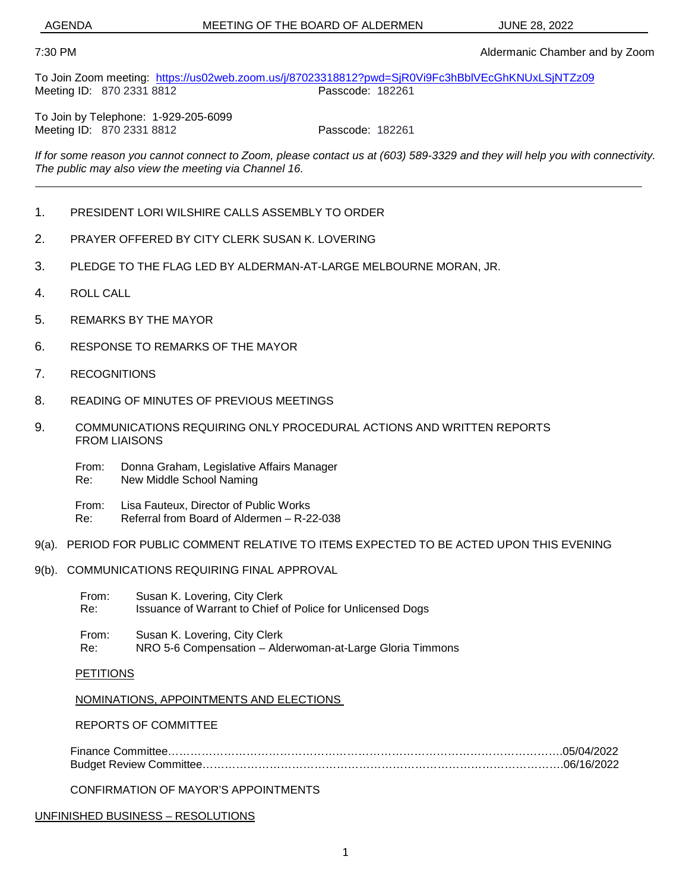AGENDA MEETING OF THE BOARD OF ALDERMEN JUNE 28, 2022

#### 7:30 PM Aldermanic Chamber and by Zoom

To Join Zoom meeting: <https://us02web.zoom.us/j/87023318812?pwd=SjR0Vi9Fc3hBblVEcGhKNUxLSjNTZz09><br>Meeting ID: 870.2331.8812 Meeting ID: 870 2331 8812

To Join by Telephone: 1-929-205-6099 Meeting ID: 870 2331 8812 **Passcode: 182261** 

*If for some reason you cannot connect to Zoom, please contact us at (603) 589-3329 and they will help you with connectivity. The public may also view the meeting via Channel 16.*

- 1. PRESIDENT LORI WILSHIRE CALLS ASSEMBLY TO ORDER
- 2. PRAYER OFFERED BY CITY CLERK SUSAN K. LOVERING
- 3. PLEDGE TO THE FLAG LED BY ALDERMAN-AT-LARGE MELBOURNE MORAN, JR.
- 4. ROLL CALL
- 5. REMARKS BY THE MAYOR
- 6. RESPONSE TO REMARKS OF THE MAYOR
- 7. RECOGNITIONS
- 8. READING OF MINUTES OF PREVIOUS MEETINGS
- 9. COMMUNICATIONS REQUIRING ONLY PROCEDURAL ACTIONS AND WRITTEN REPORTS FROM LIAISONS
	- From: Donna Graham, Legislative Affairs Manager Re: New Middle School Naming
	- From: Lisa Fauteux, Director of Public Works
	- Re: Referral from Board of Aldermen R-22-038
- 9(a). PERIOD FOR PUBLIC COMMENT RELATIVE TO ITEMS EXPECTED TO BE ACTED UPON THIS EVENING
- 9(b). COMMUNICATIONS REQUIRING FINAL APPROVAL
	- From: Susan K. Lovering, City Clerk Re: Issuance of Warrant to Chief of Police for Unlicensed Dogs
	- From: Susan K. Lovering, City Clerk Re: NRO 5-6 Compensation – Alderwoman-at-Large Gloria Timmons

#### **PETITIONS**

#### NOMINATIONS, APPOINTMENTS AND ELECTIONS

#### REPORTS OF COMMITTEE

Finance Committee…………………………………………………………………………………………….05/04/2022 Budget Review Committee…………………………………………………………………………………….06/16/2022

CONFIRMATION OF MAYOR'S APPOINTMENTS

#### UNFINISHED BUSINESS – RESOLUTIONS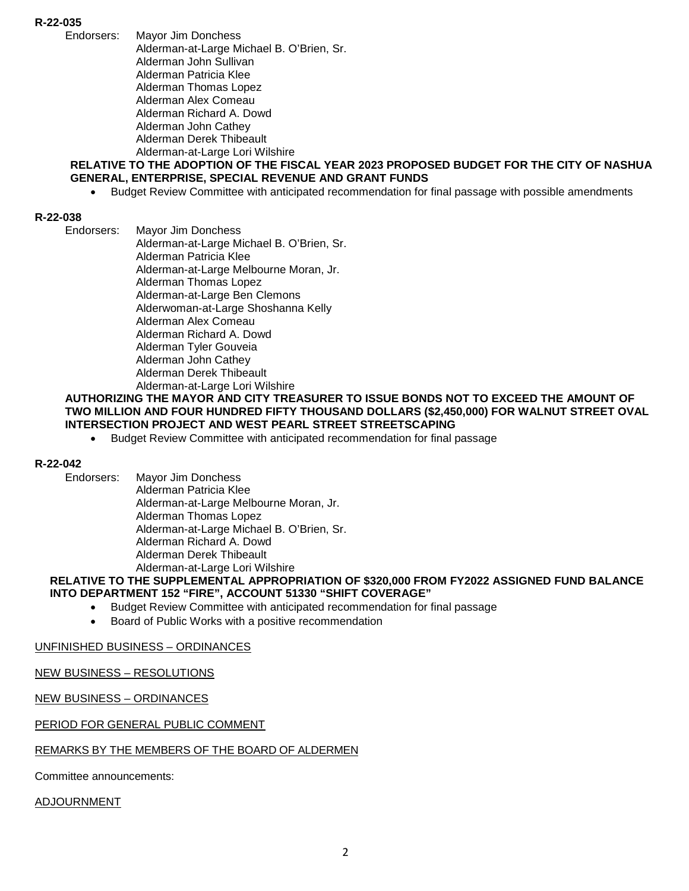- **R-22-035**
	- **Mayor Jim Donchess** Alderman-at-Large Michael B. O'Brien, Sr. Alderman John Sullivan Alderman Patricia Klee Alderman Thomas Lopez Alderman Alex Comeau Alderman Richard A. Dowd Alderman John Cathey Alderman Derek Thibeault Alderman-at-Large Lori Wilshire

#### **RELATIVE TO THE ADOPTION OF THE FISCAL YEAR 2023 PROPOSED BUDGET FOR THE CITY OF NASHUA GENERAL, ENTERPRISE, SPECIAL REVENUE AND GRANT FUNDS**

• Budget Review Committee with anticipated recommendation for final passage with possible amendments

#### **R-22-038**

Endorsers: Mayor Jim Donchess Alderman-at-Large Michael B. O'Brien, Sr. Alderman Patricia Klee Alderman-at-Large Melbourne Moran, Jr. Alderman Thomas Lopez Alderman-at-Large Ben Clemons Alderwoman-at-Large Shoshanna Kelly Alderman Alex Comeau Alderman Richard A. Dowd Alderman Tyler Gouveia Alderman John Cathey Alderman Derek Thibeault Alderman-at-Large Lori Wilshire

#### **AUTHORIZING THE MAYOR AND CITY TREASURER TO ISSUE BONDS NOT TO EXCEED THE AMOUNT OF TWO MILLION AND FOUR HUNDRED FIFTY THOUSAND DOLLARS (\$2,450,000) FOR WALNUT STREET OVAL INTERSECTION PROJECT AND WEST PEARL STREET STREETSCAPING**

• Budget Review Committee with anticipated recommendation for final passage

# **R-22-042**

Mayor Jim Donchess Alderman Patricia Klee Alderman-at-Large Melbourne Moran, Jr. Alderman Thomas Lopez Alderman-at-Large Michael B. O'Brien, Sr. Alderman Richard A. Dowd Alderman Derek Thibeault Alderman-at-Large Lori Wilshire

#### **RELATIVE TO THE SUPPLEMENTAL APPROPRIATION OF \$320,000 FROM FY2022 ASSIGNED FUND BALANCE INTO DEPARTMENT 152 "FIRE", ACCOUNT 51330 "SHIFT COVERAGE"**

- Budget Review Committee with anticipated recommendation for final passage
- Board of Public Works with a positive recommendation

#### UNFINISHED BUSINESS – ORDINANCES

#### NEW BUSINESS – RESOLUTIONS

#### NEW BUSINESS – ORDINANCES

#### PERIOD FOR GENERAL PUBLIC COMMENT

#### REMARKS BY THE MEMBERS OF THE BOARD OF ALDERMEN

Committee announcements:

#### ADJOURNMENT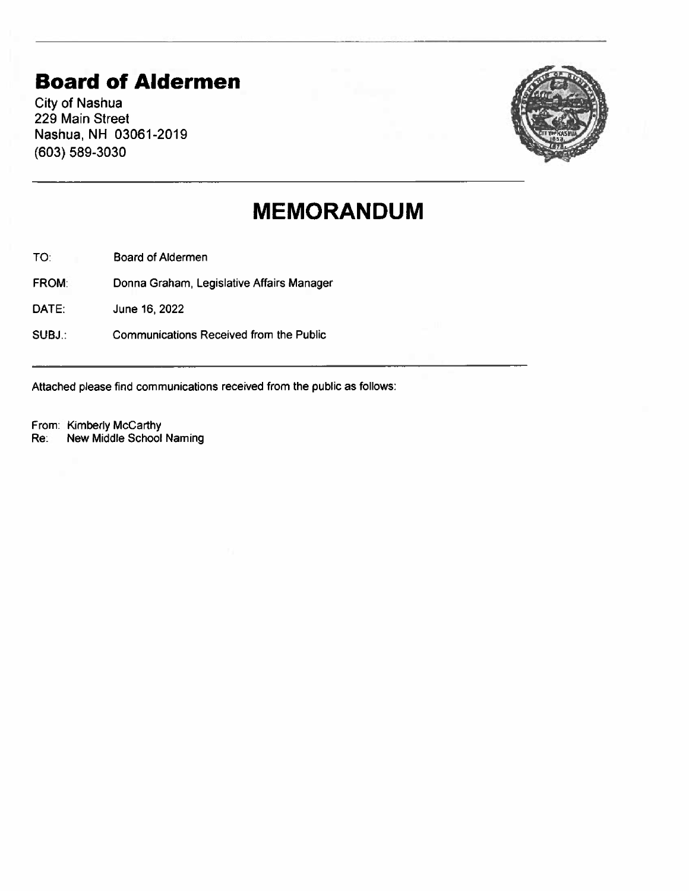# **Board of Aldermen**

City of Nashua 229 Main Street Nashua, NH 03061-2019 (603) 589-3030



# **MEMORANDUM**

TO: Board of Aldermen

FROM: Donna Graham, Legislative Affairs Manager

DATE: June 16, 2022

SUBJ.: Communications Received from the Public

Attached please find communications received from the public as follows:

From: Kimberly McCarthy

Re: New Middle School Naming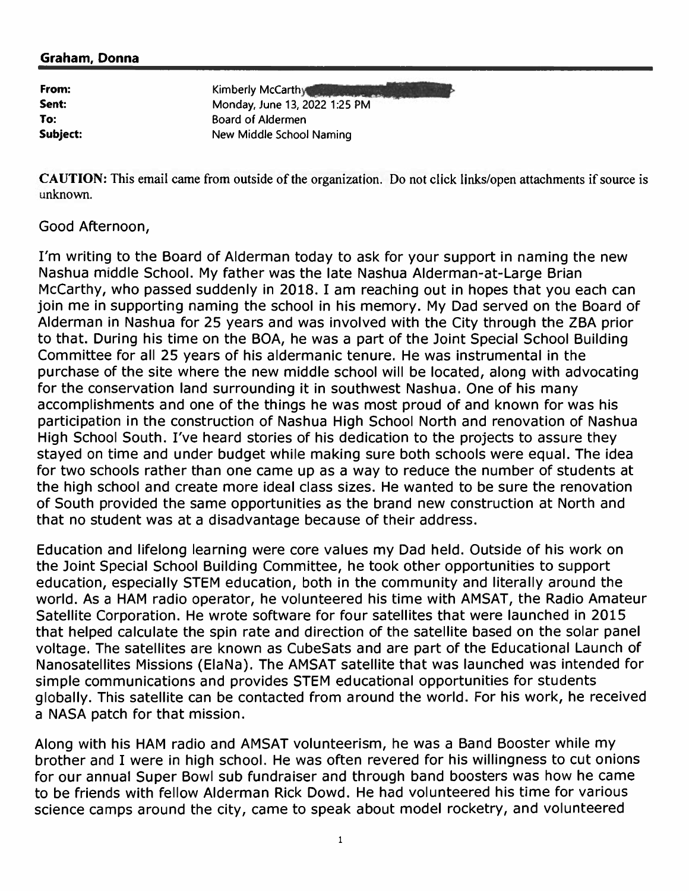#### Graham, Donna

| From:    |  |
|----------|--|
| Sent:    |  |
| To:      |  |
| Subject: |  |

Kimberly McCarthy Monday, June 13, 2022 1:25 PM Board of Aldermen New Middle School Naming

CAUTION: This email came from outside of the organization. Do not click links/open attachments if source is unknown.

#### Good Afternoon,

I'm writing to the Board of Alderman today to ask for your support in naming the new Nashua middle School. My father was the late Nashua Alderman-at-Large Brian McCarthy, who passed suddenly in 2018. I am reaching out in hopes that you each can join me in supporting naming the school in his memory. My Dad served on the Board of Alderman in Nashua for 25 years and was involved with the City through the ZBA prior to that. During his time on the BOA, he was a part of the Joint Special School Building Committee for all 25 years of his aldermanic tenure. He was instrumental in the purchase of the site where the new middle school will be located, along with advocating for the conservation land surrounding it in southwest Nashua. One of his many accomplishments and one of the things he was most proud of and known for was his participation in the construction of Nashua High School North and renovation of Nashua High School South. I've heard stories of his dedication to the projects to assure they stayed on time and under budget while making sure both schools were equal. The idea for two schools rather than one came up as a way to reduce the number of students at the high school and create more ideal class sizes. He wanted to be sure the renovation of South provided the same opportunities as the brand new construction at North and that no student was at a disadvantage because of their address.

Education and lifelong learning were core values my Dad held. Outside of his work on the Joint Special School Building Committee, he took other opportunities to support education, especially STEM education, both in the community and literally around the world. As a HAM radio operator, he volunteered his time with AMSAT, the Radio Amateur Satellite Corporation. He wrote software for four satellites that were launched in 2015 that helped calculate the spin rate and direction of the satellite based on the solar panel voltage. The satellites are known as CubeSats and are part of the Educational Launch of Nanosatellites Missions (ElaNa). The AMSAT satellite that was launched was intended for simple communications and provides STEM educational opportunities for students globally. This satellite can be contacted from around the world. For his work, he received a NASA patch for that mission.

Along with his HAM radio and AMSAT volunteerism, he was a Band Booster while my brother and I were in high school. He was often revered for his willingness to cut onions for our annual Super Bowl sub fundraiser and through band boosters was how he came to be friends with fellow Alderman Rick Dowd. He had volunteered his time for various science camps around the city, came to speak about model rocketry, and volunteered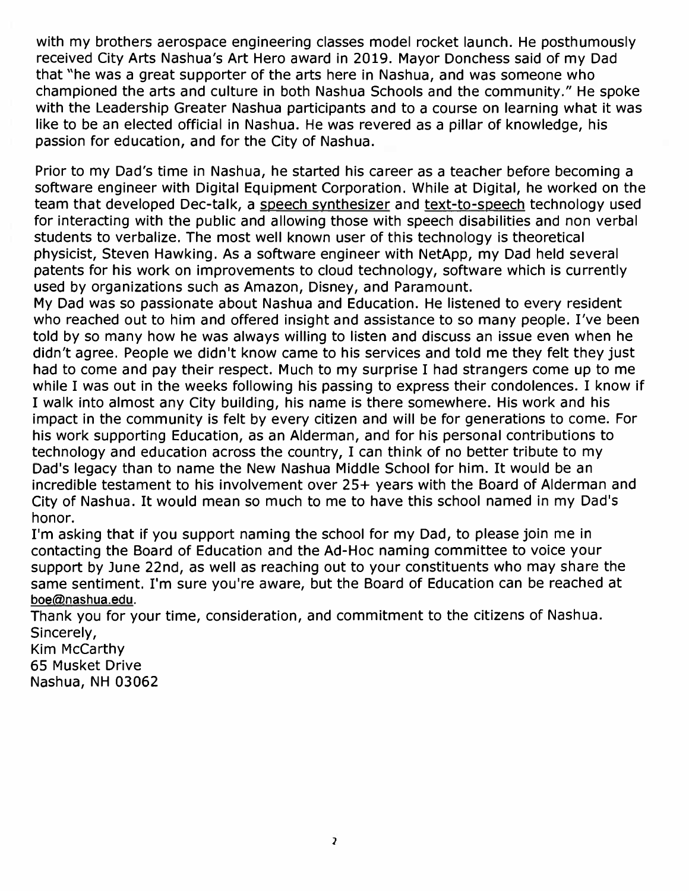with my brothers aerospace engineering classes model rocket launch. He posthumously received City Arts Nashua's Art Hero award in 2019. Mayor Donchess said of my Dad that "he was a great supporter of the arts here in Nashua, and was someone who championed the arts and culture in both Nashua Schools and the community/' He spoke with the Leadership Greater Nashua participants and to a course on learning what it was like to be an elected official in Nashua. He was revered as a pillar of knowledge, his passion for education, and for the City of Nashua.

Prior to my Dad's time in Nashua, he started his career as a teacher before becoming a software engineer with Digital Equipment Corporation. While at Digital, he worked on the team that developed Dec-talk, a speech synthesizer and text-to-speech technology used for interacting with the public and allowing those with speech disabilities and non verbal students to verbalize. The most well known user of this technology is theoretical physicist, Steven Hawking. As a software engineer with NetApp, my Dad held several patents for his work on improvements to cloud technology, software which is currently used by organizations such as Amazon, Disney, and Paramount.

My Dad was so passionate about Nashua and Education. He listened to every resident who reached out to him and offered insight and assistance to so many people. I've been told by so many how he was always willing to listen and discuss an issue even when he didn't agree. People we didn't know came to his services and told me they felt they just had to come and pay their respect. Much to my surprise I had strangers come up to me while I was out in the weeks following his passing to express their condolences. I know if I walk into almost any City building, his name is there somewhere. His work and his impact in the community is felt by every citizen and will be for generations to come. For his work supporting Education, as an Alderman, and for his personal contributions to technology and education across the country, I can think of no better tribute to my Dad's legacy than to name the New Nashua Middle School for him. It would be an incredible testament to his involvement over 25+ years with the Board of Alderman and City of Nashua. It would mean so much to me to have this school named in my Dad's honor.

I'm asking that if you support naming the school for my Dad, to please join me in contacting the Board of Education and the Ad-Hoc naming committee to voice your support by June 22nd, as well as reaching out to your constituents who may share the same sentiment. I'm sure you're aware, but the Board of Education can be reached at [boe@nashua.edu.](mailto:boe@nashua.edu)

Thank you for your time, consideration, and commitment to the citizens of Nashua. Sincerely,

Kim McCarthy 65 Musket Drive Nashua, NH 03062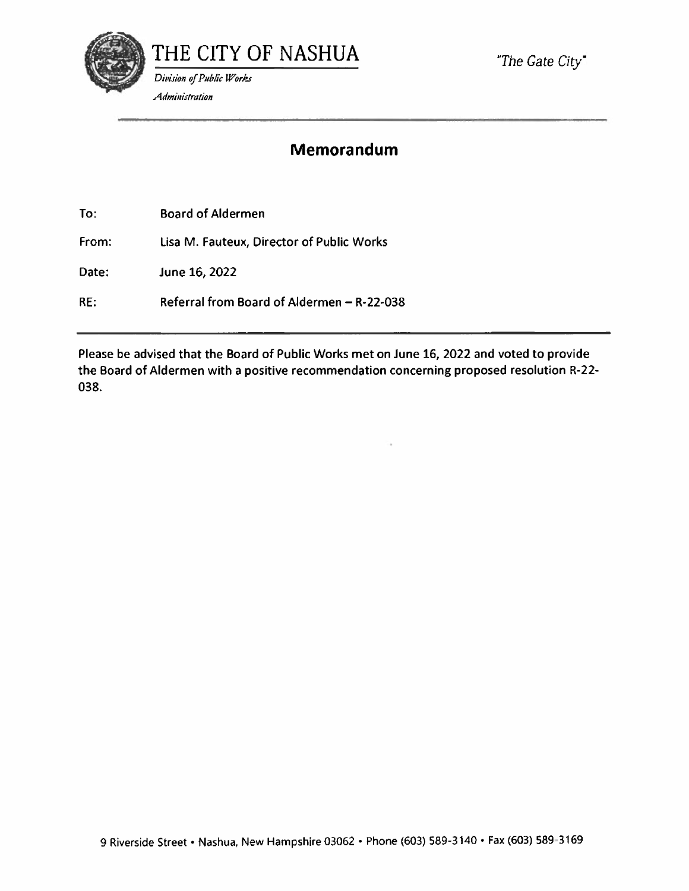

*"The Gate City\** 

### **Memorandum**

To: Board of Aldermen

From: Lisa M. Fauteux, Director of Public Works

Date: June 16, 2022

RE: Referral from Board of Aldermen - R-22-038

Please be advised that the Board of Public Works met on June 16, 2022 and voted to provide the Board of Aldermen with a positive recommendation concerning proposed resolution R-22- 038.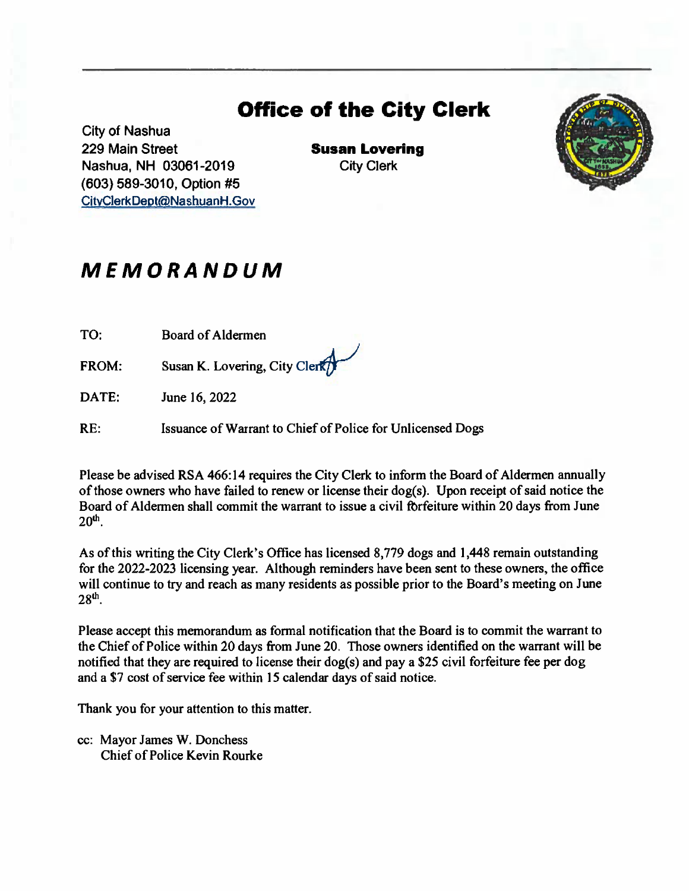# **Office of the City Clerk**

City of Nashua 229 Main Street **Susan Lovering**  Nashua, NH 03061-2019 City Clerk (603) 589-3010, Option #5 [CitvClerkDept@NashuanH.Gov](mailto:CitvClerkDept@NashuanH.Gov) 



## *MEMORANDUM*

TO: Board of Aldermen

FROM: Susan K. Lovering, City Clerk

DATE: June 16, 2022

RE: Issuance of Warrant to Chief of Police for Unlicensed Dogs

Please be advised RSA 466:14 requires the City Clerk to inform the Board of Aldermen annually of those owners who have failed to renew or license their dog(s). Upon receipt of said notice the Board of Aldermen shall commit the warrant to issue a civil forfeiture within 20 days from June **20th .** 

As of this writing the City Clerk's Office has licensed 8,779 dogs and 1,448 remain outstanding for the 2022-2023 licensing year. Although reminders have been sent to these owners, the office will continue to try and reach as many residents as possible prior to the Board's meeting on June **28th .** 

Please accept this memorandum as formal notification that the Board is to commit the warrant to the Chief of Police within 20 days from June 20. Those owners identified on the warrant will be notified that they are required to license their dog(s) and pay a \$25 civil forfeiture fee per dog and a \$7 cost of service fee within 15 calendar days of said notice.

Thank you for your attention to this matter.

cc: Mayor James W. Donchess Chief of Police Kevin Rourke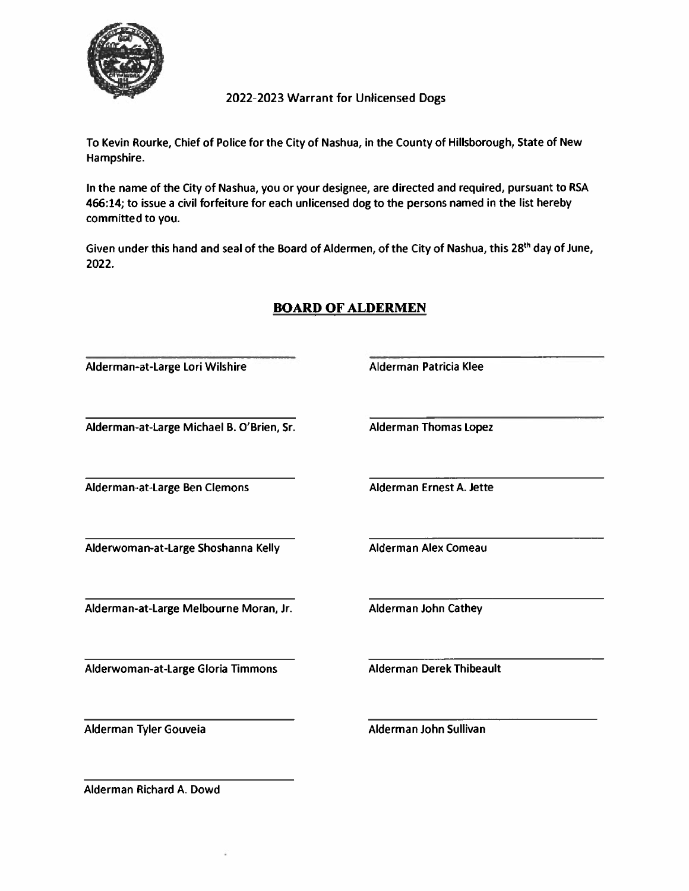

2022-2023 Warrant for Unlicensed Dogs

To Kevin Rourke, Chief of Police for the City of Nashua, in the County of Hillsborough, State of New Hampshire.

In the name of the City of Nashua, you or your designee, are directed and required, pursuant to RSA 466:14; to issue a civil forfeiture for each unlicensed dog to the persons named in the list hereby committed to you.

Given under this hand and seal of the Board of Aldermen, of the City of Nashua, this 28<sup>th</sup> day of June, **2022.** 

| Alderman-at-Large Lori Wilshire           | Alderman Patricia Klee          |
|-------------------------------------------|---------------------------------|
| Alderman-at-Large Michael B. O'Brien, Sr. | <b>Alderman Thomas Lopez</b>    |
| Alderman-at-Large Ben Clemons             | Alderman Ernest A. Jette        |
| Alderwoman-at-Large Shoshanna Kelly       | <b>Alderman Alex Comeau</b>     |
| Alderman-at-Large Melbourne Moran, Jr.    | Alderman John Cathey            |
| Alderwoman-at-Large Gloria Timmons        | <b>Alderman Derek Thibeault</b> |
| Alderman Tyler Gouveia                    | Alderman John Sullivan          |

### BOARD OF ALDERMEN

Alderman Richard A. Dowd